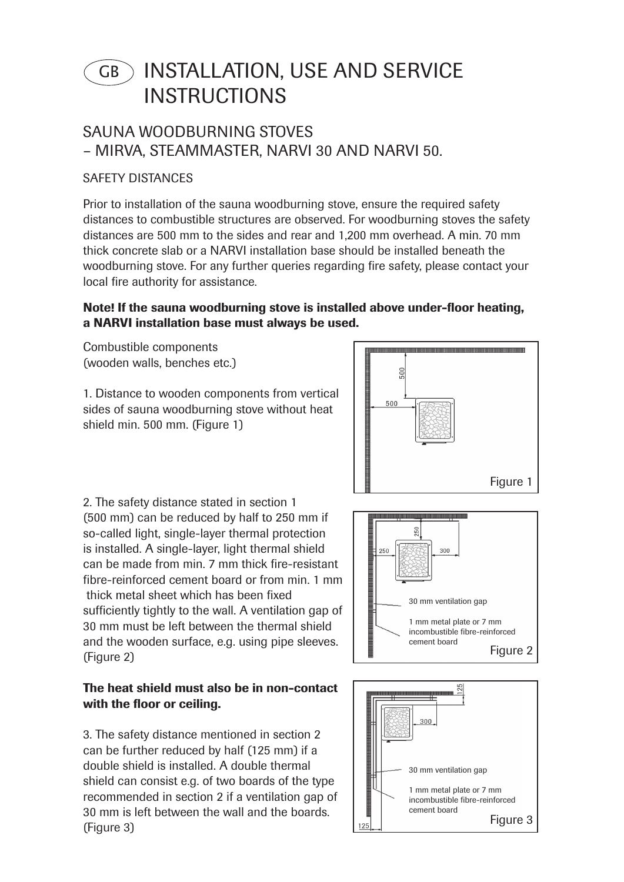# INSTALLATION, USE AND SERVICE **INSTRUCTIONS** GB

# SAUNA WOODBURNING STOVES – MIRVA, STEAMMASTER, NARVI 30 AND NARVI 50.

# SAFETY DISTANCES

Prior to installation of the sauna woodburning stove, ensure the required safety distances to combustible structures are observed. For woodburning stoves the safety distances are 500 mm to the sides and rear and 1,200 mm overhead. A min. 70 mm thick concrete slab or a NARVI installation base should be installed beneath the woodburning stove. For any further queries regarding fire safety, please contact your local fire authority for assistance.

# Note! If the sauna woodburning stove is installed above under-floor heating, a NARVI installation base must always be used.

Combustible components (wooden walls, benches etc.)

1. Distance to wooden components from vertical sides of sauna woodburning stove without heat shield min. 500 mm. (Figure 1)



2. The safety distance stated in section 1 (500 mm) can be reduced by half to 250 mm if so-called light, single-layer thermal protection is installed. A single-layer, light thermal shield can be made from min. 7 mm thick fire-resistant fibre-reinforced cement board or from min. 1 mm thick metal sheet which has been fixed sufficiently tightly to the wall. A ventilation gap of 30 mm must be left between the thermal shield and the wooden surface, e.g. using pipe sleeves. (Figure 2)

#### The heat shield must also be in non-contact with the floor or ceiling.

3. The safety distance mentioned in section 2 can be further reduced by half (125 mm) if a double shield is installed. A double thermal shield can consist e.g. of two boards of the type recommended in section 2 if a ventilation gap of 30 mm is left between the wall and the boards. (Figure 3)



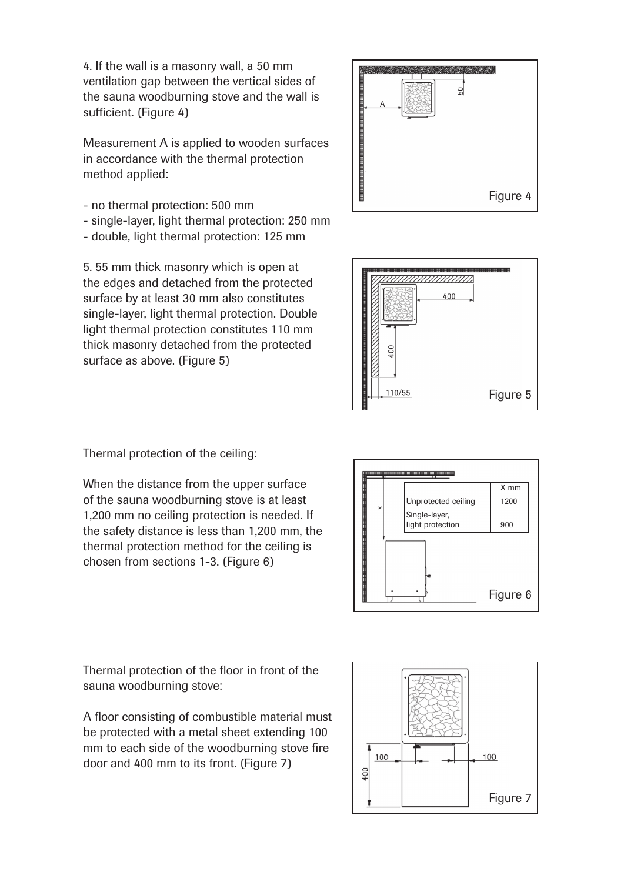4. If the wall is a masonry wall, a 50 mm ventilation gap between the vertical sides of the sauna woodburning stove and the wall is sufficient. (Figure 4)

Measurement A is applied to wooden surfaces in accordance with the thermal protection method applied:

- no thermal protection: 500 mm
- single-layer, light thermal protection: 250 mm
- double, light thermal protection: 125 mm

5. 55 mm thick masonry which is open at the edges and detached from the protected surface by at least 30 mm also constitutes single-layer, light thermal protection. Double light thermal protection constitutes 110 mm thick masonry detached from the protected surface as above. (Figure 5)





Thermal protection of the ceiling:

When the distance from the upper surface of the sauna woodburning stove is at least 1,200 mm no ceiling protection is needed. If the safety distance is less than 1,200 mm, the thermal protection method for the ceiling is chosen from sections 1-3. (Figure 6)



Thermal protection of the floor in front of the sauna woodburning stove:

A floor consisting of combustible material must be protected with a metal sheet extending 100 mm to each side of the woodburning stove fire door and 400 mm to its front. (Figure 7)

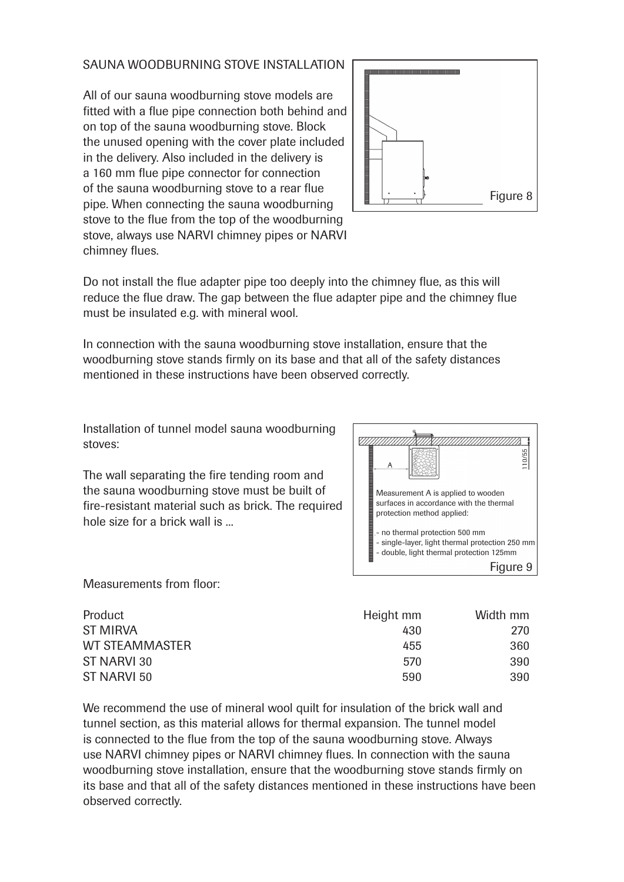#### SAUNA WOODBURNING STOVE INSTALLATION

All of our sauna woodburning stove models are fitted with a flue pipe connection both behind and on top of the sauna woodburning stove. Block the unused opening with the cover plate included in the delivery. Also included in the delivery is a 160 mm flue pipe connector for connection of the sauna woodburning stove to a rear flue pipe. When connecting the sauna woodburning stove to the flue from the top of the woodburning stove, always use NARVI chimney pipes or NARVI chimney flues.



Do not install the flue adapter pipe too deeply into the chimney flue, as this will reduce the flue draw. The gap between the flue adapter pipe and the chimney flue must be insulated e.g. with mineral wool.

In connection with the sauna woodburning stove installation, ensure that the woodburning stove stands firmly on its base and that all of the safety distances mentioned in these instructions have been observed correctly.

Installation of tunnel model sauna woodburning stoves:

The wall separating the fire tending room and the sauna woodburning stove must be built of fire-resistant material such as brick. The required hole size for a brick wall is ...



Measurements from floor:

| Product         | Height mm | Width mm |
|-----------------|-----------|----------|
| <b>ST MIRVA</b> | 430       | 270      |
| WT STEAMMASTER  | 455       | 360      |
| ST NARVI 30     | 570       | 390      |
| ST NARVI 50     | 590       | 390.     |

We recommend the use of mineral wool quilt for insulation of the brick wall and tunnel section, as this material allows for thermal expansion. The tunnel model is connected to the flue from the top of the sauna woodburning stove. Always use NARVI chimney pipes or NARVI chimney flues. In connection with the sauna woodburning stove installation, ensure that the woodburning stove stands firmly on its base and that all of the safety distances mentioned in these instructions have been observed correctly.